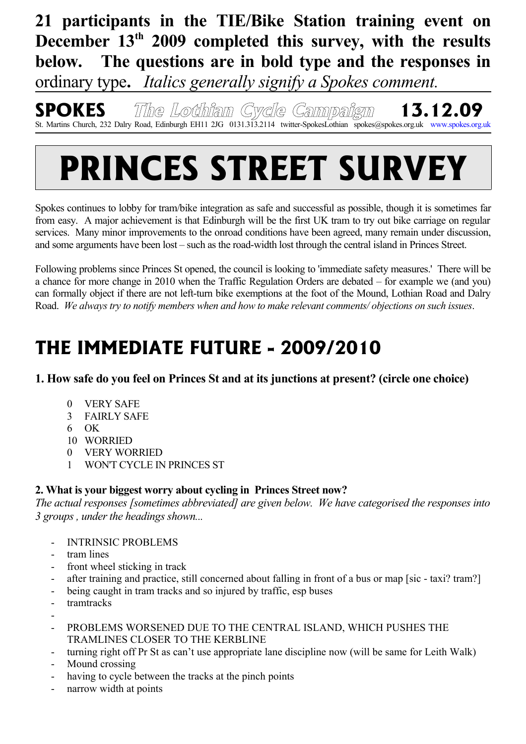**21 participants in the TIE/Bike Station training event on December 13th 2009 completed this survey, with the results below. The questions are in bold type and the responses in** ordinary type**.** *Italics generally signify a Spokes comment.*

**SPOKES The Lothian Cycle Campaign 13.12.09** St. Martins Church, 232 Dalry Road, Edinburgh EH11 2JG 0131.313.2114 twitter-SpokesLothian spokes@spokes.org.uk www.spokes.org.uk

# **PRINCES STREET SURVEY**

Spokes continues to lobby for tram/bike integration as safe and successful as possible, though it is sometimes far from easy. A major achievement is that Edinburgh will be the first UK tram to try out bike carriage on regular services. Many minor improvements to the onroad conditions have been agreed, many remain under discussion, and some arguments have been lost – such as the road-width lost through the central island in Princes Street.

Following problems since Princes St opened, the council is looking to 'immediate safety measures.' There will be a chance for more change in 2010 when the Traffic Regulation Orders are debated – for example we (and you) can formally object if there are not left-turn bike exemptions at the foot of the Mound, Lothian Road and Dalry Road. *We always try to notify members when and how to make relevant comments/ objections on such issues*.

# **THE IMMEDIATE FUTURE - 2009/2010**

**1. How safe do you feel on Princes St and at its junctions at present? (circle one choice)**

- 0 VERY SAFE
- 3 FAIRLY SAFE
- 6 OK
- 10 WORRIED
- 0 VERY WORRIED
- 1 WON'T CYCLE IN PRINCES ST

# **2. What is your biggest worry about cycling in Princes Street now?**

*The actual responses [sometimes abbreviated] are given below. We have categorised the responses into 3 groups , under the headings shown...*

- INTRINSIC PROBLEMS
- tram lines
- front wheel sticking in track
- after training and practice, still concerned about falling in front of a bus or map [sic taxi? tram?]
- being caught in tram tracks and so injured by traffic, esp buses
- tramtracks
- PROBLEMS WORSENED DUE TO THE CENTRAL ISLAND, WHICH PUSHES THE TRAMLINES CLOSER TO THE KERBLINE
- turning right off Pr St as can't use appropriate lane discipline now (will be same for Leith Walk)
- Mound crossing
- having to cycle between the tracks at the pinch points
- narrow width at points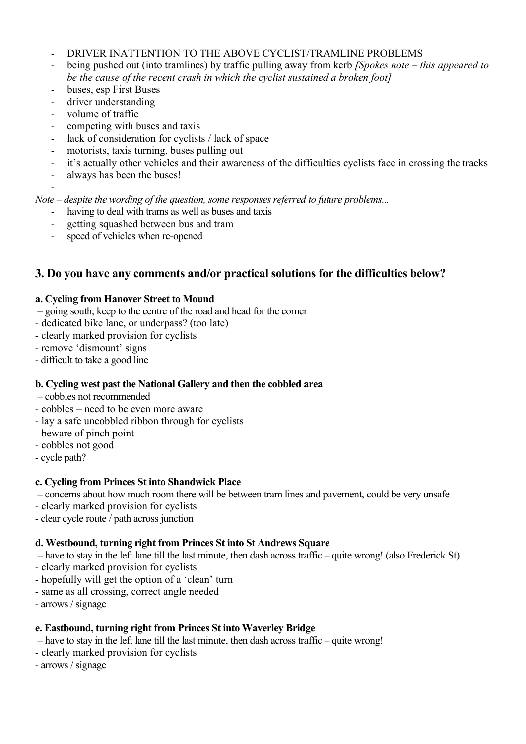- DRIVER INATTENTION TO THE ABOVE CYCLIST/TRAMLINE PROBLEMS
- being pushed out (into tramlines) by traffic pulling away from kerb *[Spokes note this appeared to be the cause of the recent crash in which the cyclist sustained a broken foot]*
- buses, esp First Buses
- driver understanding
- volume of traffic
- competing with buses and taxis
- lack of consideration for cyclists / lack of space
- motorists, taxis turning, buses pulling out
- it's actually other vehicles and their awareness of the difficulties cyclists face in crossing the tracks
- always has been the buses!

- *Note – despite the wording of the question, some responses referred to future problems...*

- having to deal with trams as well as buses and taxis
- getting squashed between bus and tram
- speed of vehicles when re-opened

## **3. Do you have any comments and/or practical solutions for the difficulties below?**

#### **a. Cycling from Hanover Street to Mound**

- going south, keep to the centre of the road and head for the corner
- dedicated bike lane, or underpass? (too late)
- clearly marked provision for cyclists
- remove 'dismount' signs
- difficult to take a good line

#### **b. Cycling west past the National Gallery and then the cobbled area**

- cobbles not recommended
- cobbles need to be even more aware
- lay a safe uncobbled ribbon through for cyclists
- beware of pinch point
- cobbles not good
- cycle path?

#### **c. Cycling from Princes St into Shandwick Place**

– concerns about how much room there will be between tram lines and pavement, could be very unsafe

- clearly marked provision for cyclists
- clear cycle route / path across junction

#### **d. Westbound, turning right from Princes St into St Andrews Square**

– have to stay in the left lane till the last minute, then dash across traffic – quite wrong! (also Frederick St)

- clearly marked provision for cyclists
- hopefully will get the option of a 'clean' turn
- same as all crossing, correct angle needed
- arrows / signage

#### **e. Eastbound, turning right from Princes St into Waverley Bridge**

- have to stay in the left lane till the last minute, then dash across traffic quite wrong!
- clearly marked provision for cyclists
- arrows / signage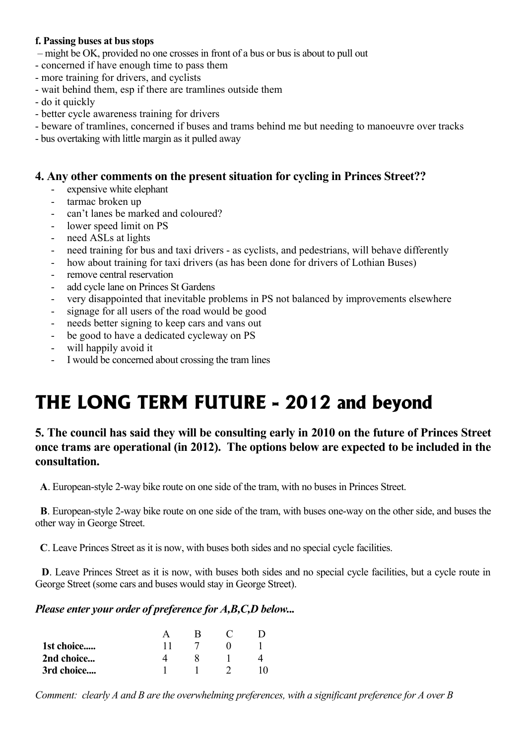#### **f. Passing buses at bus stops**

- might be OK, provided no one crosses in front of a bus or bus is about to pull out
- concerned if have enough time to pass them
- more training for drivers, and cyclists
- wait behind them, esp if there are tramlines outside them
- do it quickly
- better cycle awareness training for drivers
- beware of tramlines, concerned if buses and trams behind me but needing to manoeuvre over tracks
- bus overtaking with little margin as it pulled away

#### **4. Any other comments on the present situation for cycling in Princes Street??**

- expensive white elephant
- tarmac broken up
- can't lanes be marked and coloured?
- lower speed limit on PS
- need ASLs at lights
- need training for bus and taxi drivers as cyclists, and pedestrians, will behave differently
- how about training for taxi drivers (as has been done for drivers of Lothian Buses)
- remove central reservation
- add cycle lane on Princes St Gardens
- very disappointed that inevitable problems in PS not balanced by improvements elsewhere
- signage for all users of the road would be good
- needs better signing to keep cars and vans out
- be good to have a dedicated cycleway on PS
- will happily avoid it
- I would be concerned about crossing the tram lines

# **THE LONG TERM FUTURE - 2012 and beyond**

## **5. The council has said they will be consulting early in 2010 on the future of Princes Street once trams are operational (in 2012). The options below are expected to be included in the consultation.**

 **A**. European-style 2-way bike route on one side of the tram, with no buses in Princes Street.

 **B**. European-style 2-way bike route on one side of the tram, with buses one-way on the other side, and buses the other way in George Street.

 **C**. Leave Princes Street as it is now, with buses both sides and no special cycle facilities.

 **D**. Leave Princes Street as it is now, with buses both sides and no special cycle facilities, but a cycle route in George Street (some cars and buses would stay in George Street).

#### *Please enter your order of preference for A,B,C,D below...*

| 1st choice |  |  |
|------------|--|--|
| 2nd choice |  |  |
| 3rd choice |  |  |

*Comment: clearly A and B are the overwhelming preferences, with a significant preference for A over B*